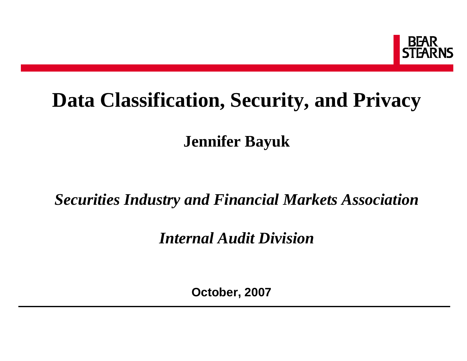

# **Data Classification, Security, and Privacy**

**Jennifer Bayuk**

### *Securities Industry and Financial Markets Association*

*Internal Audit Division*

**October, 2007**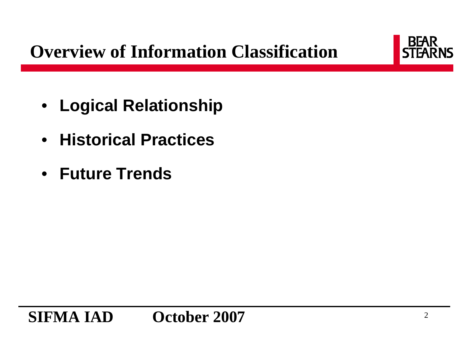# **Overview of Information Classification**



- **Logical Relationship**
- **Historical Practices**
- **Future Trends**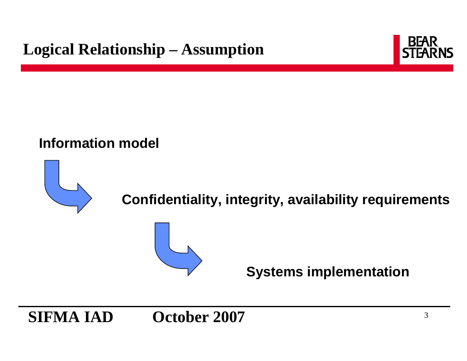

#### **Information model**



### **Confidentiality, integrity, availability requirements**



**Systems implementation**

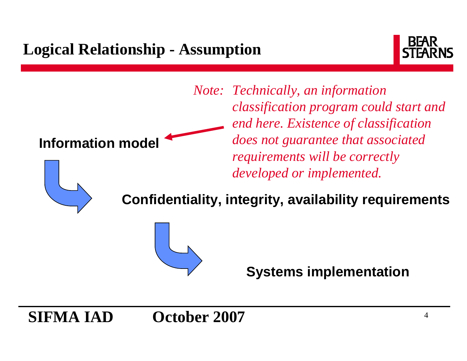# **Logical Relationship - Assumption**



**Information model** *Note: Technically, an information classification program could start and end here. Existence of classification does not guarantee that associated requirements will be correctly developed or implemented.*



**Confidentiality, integrity, availability requirements**



**Systems implementation**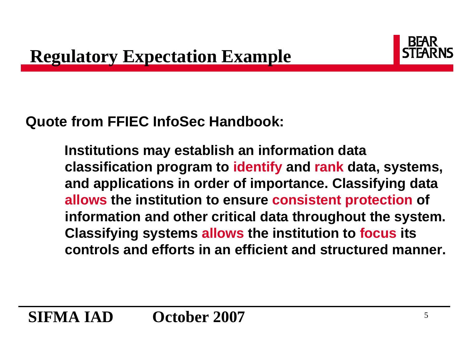

### **Quote from FFIEC InfoSec Handbook:**

**Institutions may establish an information data classification program to identify and rank data, systems, and applications in order of importance. Classifying data allows the institution to ensure consistent protection of information and other critical data throughout the system. Classifying systems allows the institution to focus its controls and efforts in an efficient and structured manner.**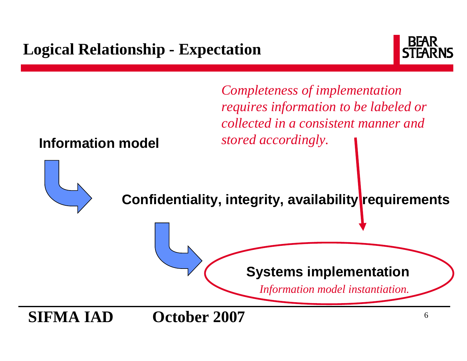# **Logical Relationship - Expectation**



*Completeness of implementation requires information to be labeled or collected in a consistent manner and stored accordingly.* 

#### **Information model**



**Confidentiality, integrity, availability requirements**

#### **Systems implementation**

*Information model instantiation.*

**SIFMA IAD October 2007**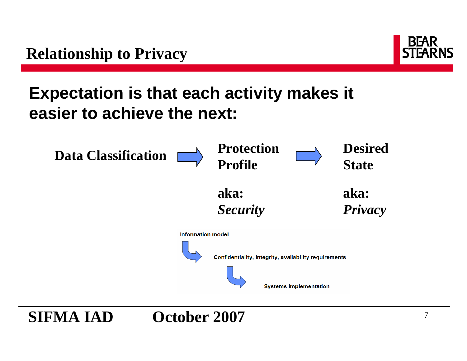

# **Expectation is that each activity makes it easier to achieve the next:**



**SIFMA IAD October 2007**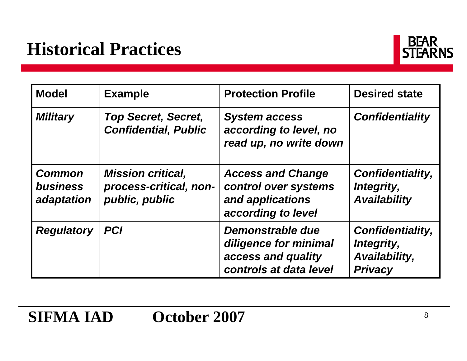

| <b>Model</b>                                   | <b>Example</b>                                                       | <b>Protection Profile</b>                                                                  | <b>Desired state</b>                                                     |  |
|------------------------------------------------|----------------------------------------------------------------------|--------------------------------------------------------------------------------------------|--------------------------------------------------------------------------|--|
| <b>Military</b>                                | <b>Top Secret, Secret,</b><br><b>Confidential, Public</b>            | <b>System access</b><br>according to level, no<br>read up, no write down                   | <b>Confidentiality</b>                                                   |  |
| <b>Common</b><br><b>business</b><br>adaptation | <b>Mission critical,</b><br>process-critical, non-<br>public, public | <b>Access and Change</b><br>control over systems<br>and applications<br>according to level | <b>Confidentiality,</b><br>Integrity,<br><b>Availability</b>             |  |
| <b>Regulatory</b>                              | <b>PCI</b>                                                           | Demonstrable due<br>diligence for minimal<br>access and quality<br>controls at data level  | <b>Confidentiality,</b><br>Integrity,<br>Availability,<br><b>Privacy</b> |  |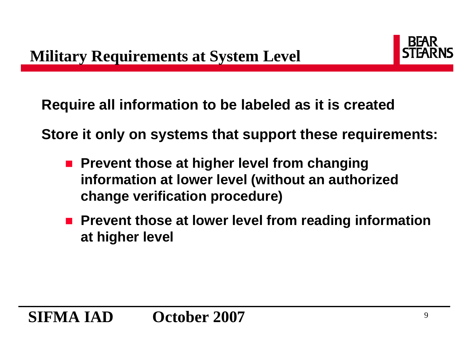

**Require all information to be labeled as it is created**

**Store it only on systems that support these requirements:**

- Prevent those at higher level from changing **information at lower level (without an authorized change verification procedure)**
- Prevent those at lower level from reading information **at higher level**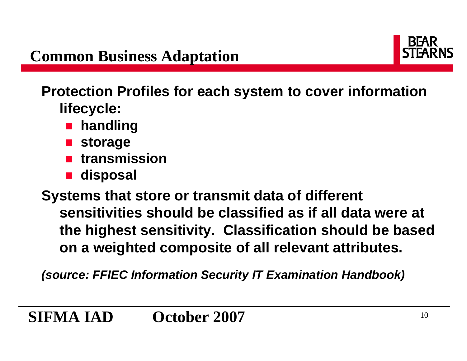

**Protection Profiles for each system to cover information lifecycle:**

- $\mathbb{Z}$ **handling**
- $\mathbb{Z}$ **storage**
- $\mathbb{Z}$ **transmission**
- $\mathbb{Z}$ **disposal**

**Systems that store or transmit data of different sensitivities should be classified as if all data were at the highest sensitivity. Classification should be based on a weighted composite of all relevant attributes.**

*(source: FFIEC Information Security IT Examination Handbook)*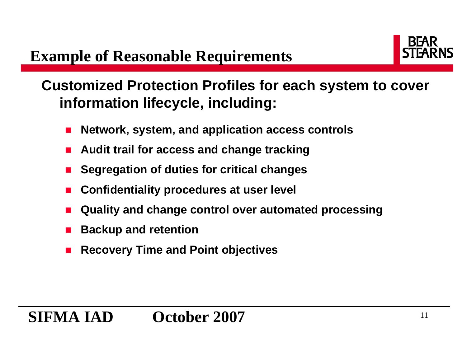

**Customized Protection Profiles for each system to cover information lifecycle, including:**

- П **Network, system, and application access controls**
- Π **Audit trail for access and change tracking**
- П **Segregation of duties for critical changes**
- П **Confidentiality procedures at user level**
- Π **Quality and change control over automated processing**
- П **Backup and retention**
- Π **Recovery Time and Point objectives**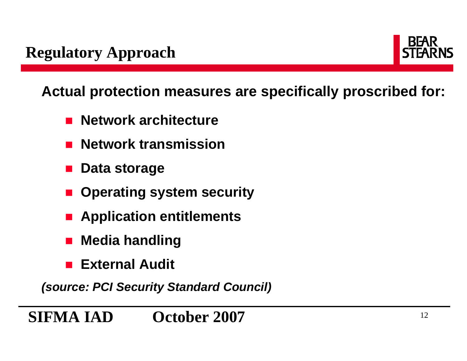

**Actual protection measures are specifically proscribed for:**

- **Network architecture**
- $\mathbb{Z}$ **Network transmission**
- **Data storage**
- × **Operating system security**
- **Application entitlements**
- T. **Media handling**
- **External Audit**

*(source: PCI Security Standard Council)*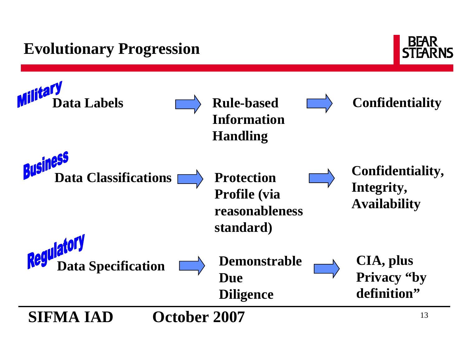# **Evolutionary Progression**



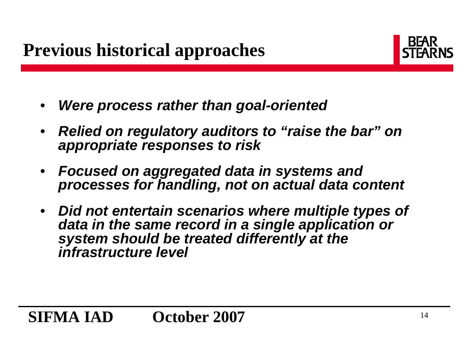

- •*Were process rather than goal-oriented*
- *Relied on regulatory auditors to "raise the bar" on appropriate responses to risk*
- *Focused on aggregated data in systems and processes for handling, not on actual data content*
- *Did not entertain scenarios where multiple types of data in the same record in a single application or system should be treated differently at the infrastructure level*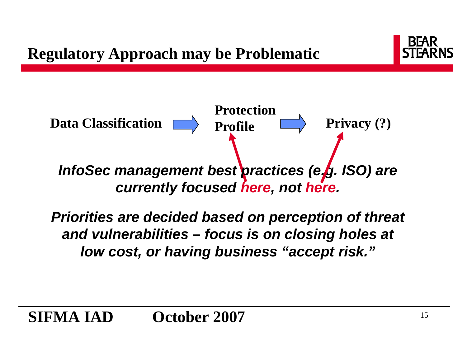



*Priorities are decided based on perception of threat and vulnerabilities – focus is on closing holes at low cost, or having business "accept risk."*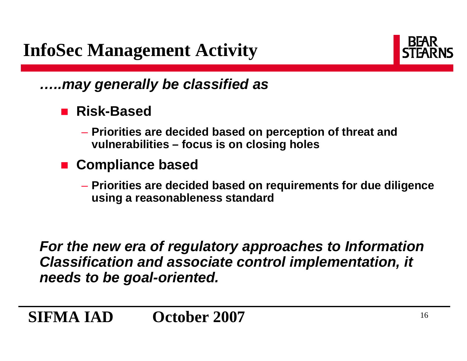

### *…..may generally be classified as*

- **Risk-Based**
	- **Priorities are decided based on perception of threat and vulnerabilities – focus is on closing holes**
- **Compliance based**
	- **Priorities are decided based on requirements for due diligence using a reasonableness standard**

*For the new era of regulatory approaches to Information Classification and associate control implementation, it needs to be goal-oriented.*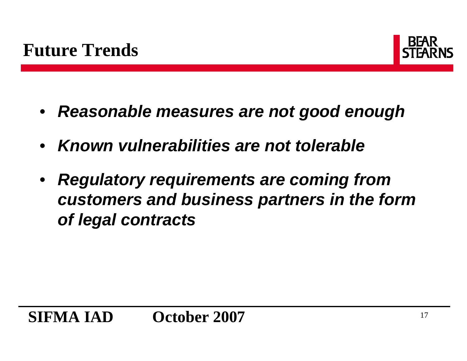

- $\bullet$ *Reasonable measures are not good enough*
- *Known vulnerabilities are not tolerable*
- $\bullet$  *Regulatory requirements are coming from customers and business partners in the form of legal contracts*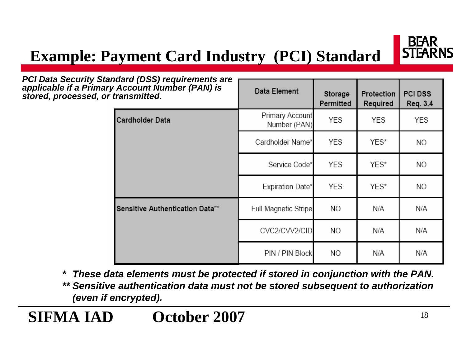# **Example: Payment Card Industry (PCI) Standard**



| PCI Data Security Standard (DSS) requirements are<br>applicable if a Primary Account Number (PAN) is<br>stored, processed, or transmitted. |                                 | Data Element                    | Storage<br>Permitted | Protection<br>Required | <b>PCI DSS</b><br>Req. 3.4 |
|--------------------------------------------------------------------------------------------------------------------------------------------|---------------------------------|---------------------------------|----------------------|------------------------|----------------------------|
|                                                                                                                                            | <b>Cardholder Data</b>          | Primary Account<br>Number (PAN) | YES                  | YES                    | YES                        |
|                                                                                                                                            |                                 | Cardholder Name*                | YES                  | YES*                   | ΝO                         |
|                                                                                                                                            |                                 | Service Code*                   | <b>YES</b>           | YES*                   | NO.                        |
|                                                                                                                                            |                                 | Expiration Date*                | YES                  | YES*                   | NO.                        |
|                                                                                                                                            | Sensitive Authentication Data** | Full Magnetic Stripe            | NO.                  | N/A                    | N/A                        |
|                                                                                                                                            |                                 | CVC2/CVV2/CID                   | NO.                  | N/A                    | N/A                        |
|                                                                                                                                            |                                 | PIN / PIN Block                 | NO.                  | N/A                    | N/A                        |

*\* These data elements must be protected if stored in conjunction with the PAN.*

*\*\* Sensitive authentication data must not be stored subsequent to authorization (even if encrypted).*

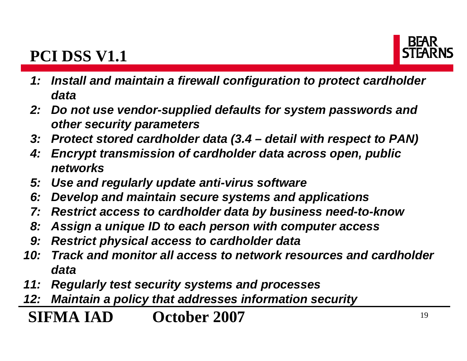# **PCI DSS V1.1**



- *1: Install and maintain a firewall configuration to protect cardholder data*
- *2: Do not use vendor-supplied defaults for system passwords and other security parameters*
- *3: Protect stored cardholder data (3.4 – detail with respect to PAN)*
- *4: Encrypt transmission of cardholder data across open, public networks*
- *5: Use and regularly update anti-virus software*
- *6: Develop and maintain secure systems and applications*
- *7: Restrict access to cardholder data by business need-to-know*
- *8: Assign a unique ID to each person with computer access*
- *9: Restrict physical access to cardholder data*
- *10: Track and monitor all access to network resources and cardholderdata*
- *11: Regularly test security systems and processes*
- *12: Maintain a policy that addresses information security*

**SIFMA IAD October 2007** $7$  and  $19$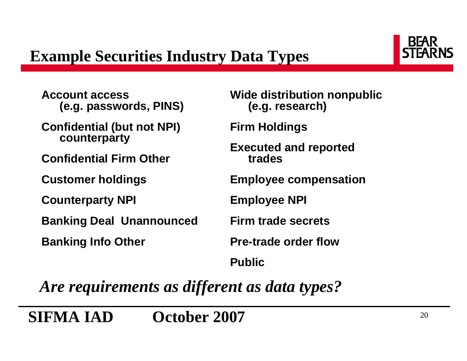

**Account access (e.g. passwords, PINS)**

**Confidential (but not NPI) counterparty**

**Confidential Firm Other**

**Customer holdings**

**Counterparty NPI**

**Banking Deal Unannounced**

**Banking Info Other**

**Wide distribution nonpublic (e.g. research)**

**Firm Holdings**

**Executed and reported trades**

**Employee compensation**

**Employee NPI**

**Firm trade secrets**

**Pre-trade order flow**

**Public**

*Are requirements as different as data types?*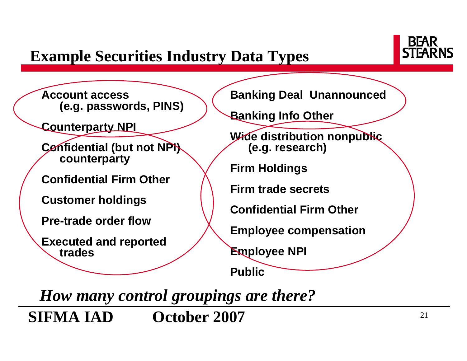# **Example Securities Industry Data Types**



**Account access (e.g. passwords, PINS)**

**Counterparty NPI**

**Confidential (but not NPI) counterparty**

**Confidential Firm Other**

**Customer holdings**

**Pre-trade order flow** 

**Executed and reported trades**

**Banking Deal Unannounced**

**Banking Info Other**

**Wide distribution nonpublic (e.g. research)**

**Firm Holdings**

**Firm trade secrets** 

**Confidential Firm Other**

**Employee compensation**

**Employee NPI**

**Public**

**SIFMA IAD October 2007** $7$  and  $21$ *How many control groupings are there?*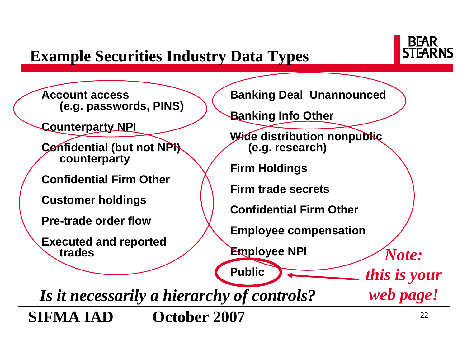# **Example Securities Industry Data Types**



**Account access (e.g. passwords, PINS)**

**Counterparty NPI**

**Confidential (but not NPI) counterparty**

**Confidential Firm Other**

**Customer holdings**

**Pre-trade order flow** 

**Executed and reported trades**

**Banking Deal Unannounced**

**Banking Info Other**

**Wide distribution nonpublic (e.g. research)**

**Firm Holdings**

**Firm trade secrets** 

**Confidential Firm Other**

**Employee compensation**

**Employee NPI**

**Public**

**SIFMA IAD October 2007** $7$  and  $22$ *Is it necessarily a hierarchy of controls?*

*Note:* 

*this is your* 

*web page!*